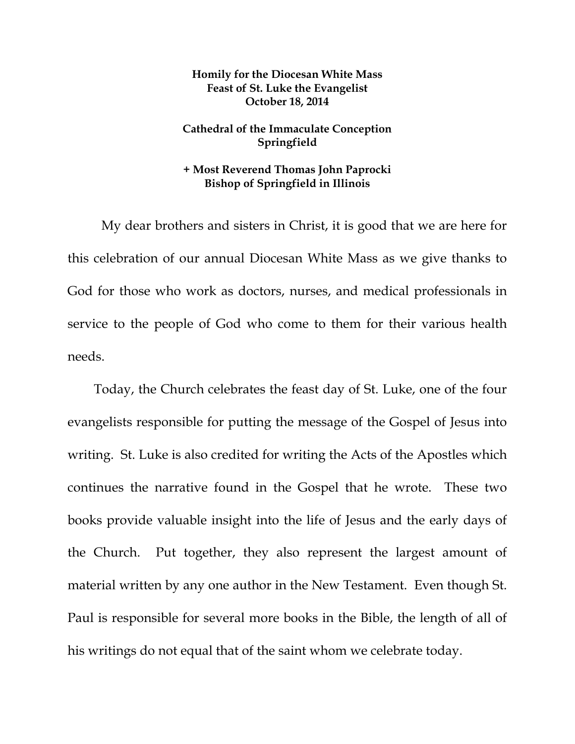## **Homily for the Diocesan White Mass Feast of St. Luke the Evangelist October 18, 2014**

## **Cathedral of the Immaculate Conception Springfield**

## **+ Most Reverend Thomas John Paprocki Bishop of Springfield in Illinois**

 My dear brothers and sisters in Christ, it is good that we are here for this celebration of our annual Diocesan White Mass as we give thanks to God for those who work as doctors, nurses, and medical professionals in service to the people of God who come to them for their various health needs.

Today, the Church celebrates the feast day of St. Luke, one of the four evangelists responsible for putting the message of the Gospel of Jesus into writing. St. Luke is also credited for writing the Acts of the Apostles which continues the narrative found in the Gospel that he wrote. These two books provide valuable insight into the life of Jesus and the early days of the Church. Put together, they also represent the largest amount of material written by any one author in the New Testament. Even though St. Paul is responsible for several more books in the Bible, the length of all of his writings do not equal that of the saint whom we celebrate today.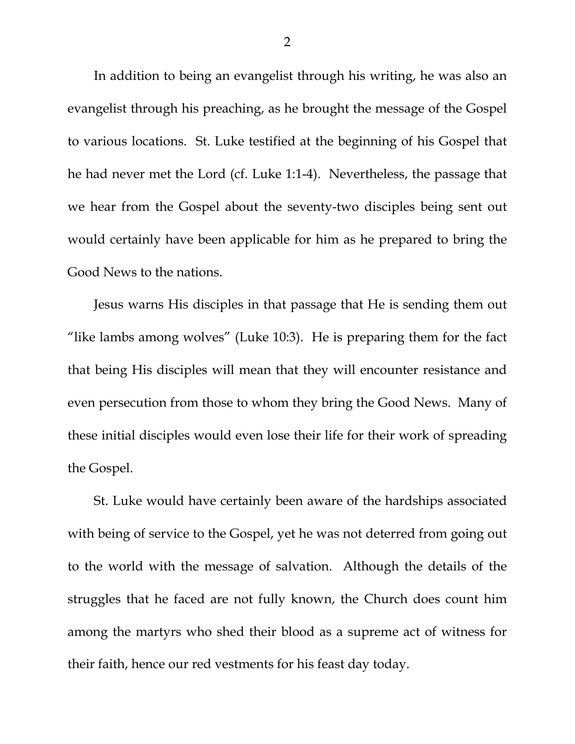In addition to being an evangelist through his writing, he was also an evangelist through his preaching, as he brought the message of the Gospel to various locations. St. Luke testified at the beginning of his Gospel that he had never met the Lord (cf. Luke 1:1-4). Nevertheless, the passage that we hear from the Gospel about the seventy-two disciples being sent out would certainly have been applicable for him as he prepared to bring the Good News to the nations.

Jesus warns His disciples in that passage that He is sending them out "like lambs among wolves" (Luke 10:3). He is preparing them for the fact that being His disciples will mean that they will encounter resistance and even persecution from those to whom they bring the Good News. Many of these initial disciples would even lose their life for their work of spreading the Gospel.

St. Luke would have certainly been aware of the hardships associated with being of service to the Gospel, yet he was not deterred from going out to the world with the message of salvation. Although the details of the struggles that he faced are not fully known, the Church does count him among the martyrs who shed their blood as a supreme act of witness for their faith, hence our red vestments for his feast day today.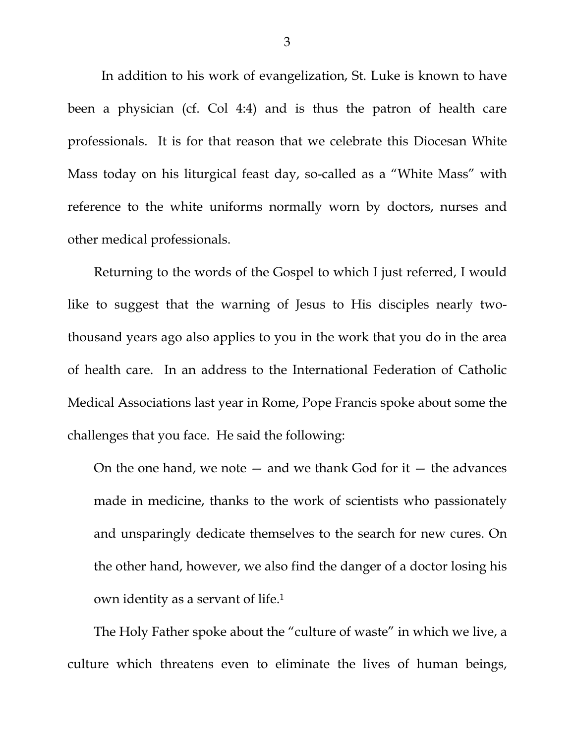In addition to his work of evangelization, St. Luke is known to have been a physician (cf. Col 4:4) and is thus the patron of health care professionals. It is for that reason that we celebrate this Diocesan White Mass today on his liturgical feast day, so-called as a "White Mass" with reference to the white uniforms normally worn by doctors, nurses and other medical professionals.

Returning to the words of the Gospel to which I just referred, I would like to suggest that the warning of Jesus to His disciples nearly twothousand years ago also applies to you in the work that you do in the area of health care. In an address to the International Federation of Catholic Medical Associations last year in Rome, Pope Francis spoke about some the challenges that you face. He said the following:

On the one hand, we note  $-$  and we thank God for it  $-$  the advances made in medicine, thanks to the work of scientists who passionately and unsparingly dedicate themselves to the search for new cures. On the other hand, however, we also find the danger of a doctor losing his own identity as a servant of life.1

The Holy Father spoke about the "culture of waste" in which we live, a culture which threatens even to eliminate the lives of human beings,

3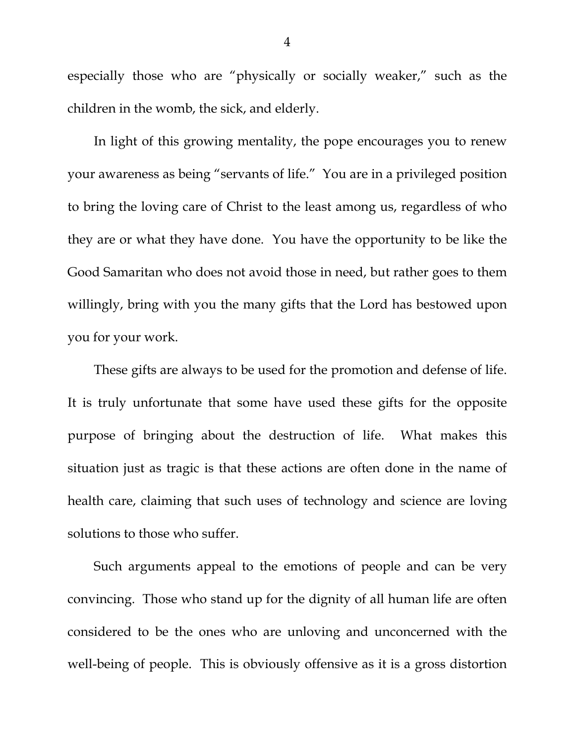especially those who are "physically or socially weaker," such as the children in the womb, the sick, and elderly.

In light of this growing mentality, the pope encourages you to renew your awareness as being "servants of life." You are in a privileged position to bring the loving care of Christ to the least among us, regardless of who they are or what they have done. You have the opportunity to be like the Good Samaritan who does not avoid those in need, but rather goes to them willingly, bring with you the many gifts that the Lord has bestowed upon you for your work.

These gifts are always to be used for the promotion and defense of life. It is truly unfortunate that some have used these gifts for the opposite purpose of bringing about the destruction of life. What makes this situation just as tragic is that these actions are often done in the name of health care, claiming that such uses of technology and science are loving solutions to those who suffer.

Such arguments appeal to the emotions of people and can be very convincing. Those who stand up for the dignity of all human life are often considered to be the ones who are unloving and unconcerned with the well-being of people. This is obviously offensive as it is a gross distortion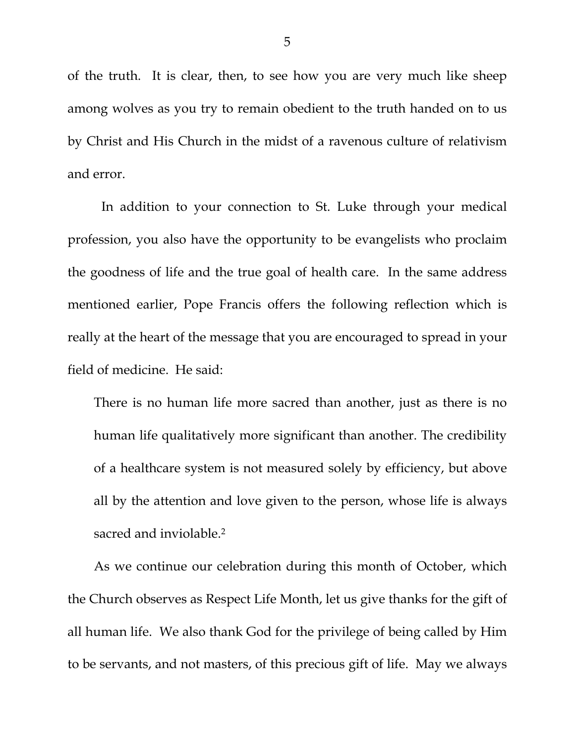of the truth. It is clear, then, to see how you are very much like sheep among wolves as you try to remain obedient to the truth handed on to us by Christ and His Church in the midst of a ravenous culture of relativism and error.

 In addition to your connection to St. Luke through your medical profession, you also have the opportunity to be evangelists who proclaim the goodness of life and the true goal of health care. In the same address mentioned earlier, Pope Francis offers the following reflection which is really at the heart of the message that you are encouraged to spread in your field of medicine. He said:

There is no human life more sacred than another, just as there is no human life qualitatively more significant than another. The credibility of a healthcare system is not measured solely by efficiency, but above all by the attention and love given to the person, whose life is always sacred and inviolable.<sup>2</sup>

As we continue our celebration during this month of October, which the Church observes as Respect Life Month, let us give thanks for the gift of all human life. We also thank God for the privilege of being called by Him to be servants, and not masters, of this precious gift of life. May we always